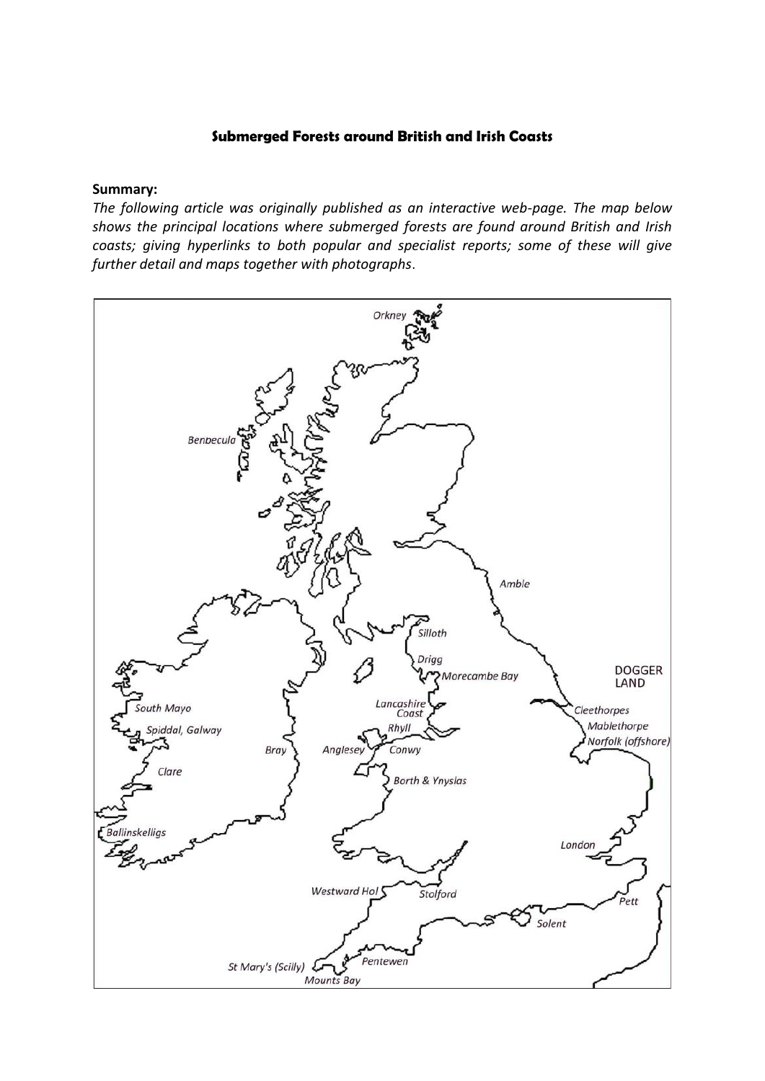# **Submerged Forests around British and Irish Coasts**

# **Summary:**

*The following article was originally published as an interactive web-page. The map below shows the principal locations where submerged forests are found around British and Irish coasts; giving hyperlinks to both popular and specialist reports; some of these will give further detail and maps together with photographs*.

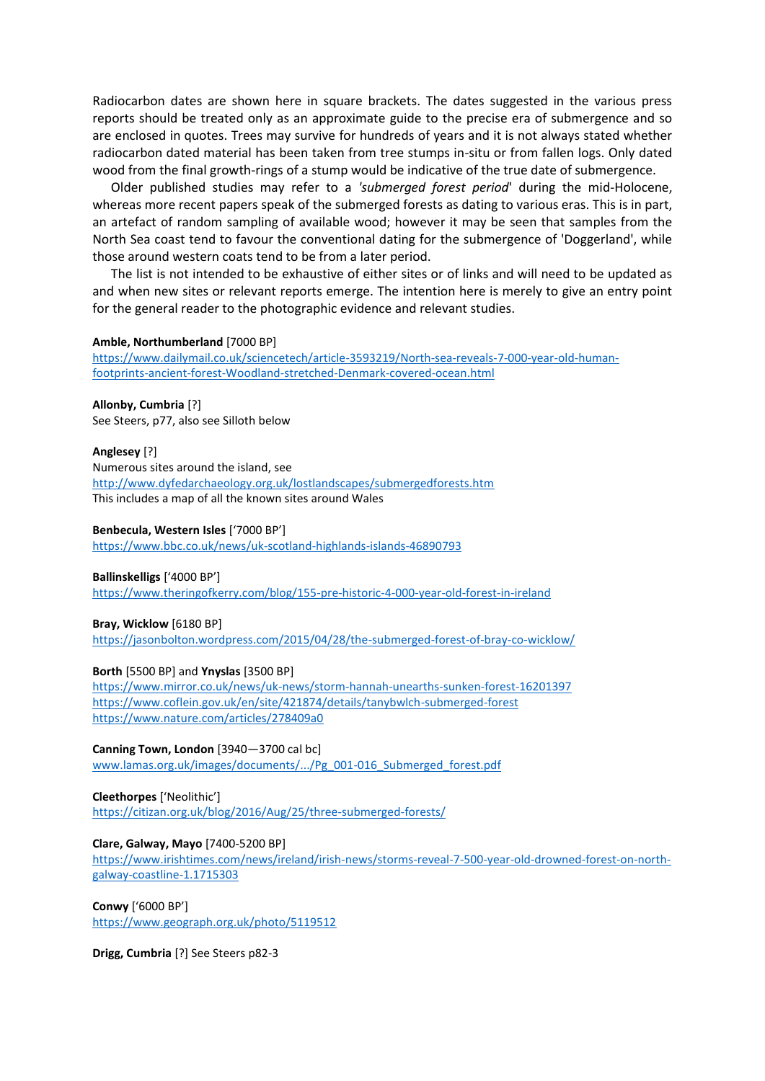Radiocarbon dates are shown here in square brackets. The dates suggested in the various press reports should be treated only as an approximate guide to the precise era of submergence and so are enclosed in quotes. Trees may survive for hundreds of years and it is not always stated whether radiocarbon dated material has been taken from tree stumps in-situ or from fallen logs. Only dated wood from the final growth-rings of a stump would be indicative of the true date of submergence.

Older published studies may refer to a *'submerged forest period*' during the mid-Holocene, whereas more recent papers speak of the submerged forests as dating to various eras. This is in part, an artefact of random sampling of available wood; however it may be seen that samples from the North Sea coast tend to favour the conventional dating for the submergence of 'Doggerland', while those around western coats tend to be from a later period.

The list is not intended to be exhaustive of either sites or of links and will need to be updated as and when new sites or relevant reports emerge. The intention here is merely to give an entry point for the general reader to the photographic evidence and relevant studies.

#### **Amble, Northumberland** [7000 BP]

[https://www.dailymail.co.uk/sciencetech/article-3593219/North-sea-reveals-7-000-year-old-human](https://www.dailymail.co.uk/sciencetech/article-3593219/North-sea-reveals-7-000-year-old-human-footprints-ancient-forest-Woodland-stretched-Denmark-covered-ocean.html)[footprints-ancient-forest-Woodland-stretched-Denmark-covered-ocean.html](https://www.dailymail.co.uk/sciencetech/article-3593219/North-sea-reveals-7-000-year-old-human-footprints-ancient-forest-Woodland-stretched-Denmark-covered-ocean.html)

**Allonby, Cumbria** [?] See Steers, p77, also see Silloth below

#### **Anglesey** [?]

Numerous sites around the island, see <http://www.dyfedarchaeology.org.uk/lostlandscapes/submergedforests.htm> This includes a map of all the known sites around Wales

### **Benbecula, Western Isles** ['7000 BP']

<https://www.bbc.co.uk/news/uk-scotland-highlands-islands-46890793>

### **Ballinskelligs** ['4000 BP']

<https://www.theringofkerry.com/blog/155-pre-historic-4-000-year-old-forest-in-ireland>

#### **Bray, Wicklow** [6180 BP]

<https://jasonbolton.wordpress.com/2015/04/28/the-submerged-forest-of-bray-co-wicklow/>

### **Borth** [5500 BP] and **Ynyslas** [3500 BP]

<https://www.mirror.co.uk/news/uk-news/storm-hannah-unearths-sunken-forest-16201397> <https://www.coflein.gov.uk/en/site/421874/details/tanybwlch-submerged-forest> <https://www.nature.com/articles/278409a0>

**Canning Town, London** [3940—3700 cal bc] [www.lamas.org.uk/images/documents/.../Pg\\_001-016\\_Submerged\\_forest.pdf](https://www.google.co.uk/url?sa=t&rct=j&q=&esrc=s&source=web&cd=1&cad=rja&uact=8&ved=2ahUKEwiLkvOxzsrjAhUConEKHVe1A9kQFjAAegQIAxAC&url=http%3A%2F%2Fwww.lamas.org.uk%2Fimages%2Fdocuments%2FTransactions61%2FPg_001-016_Submerged_forest.pdf&usg=AOvVaw0_aa_dYXNDD713GrrGhyYM)

### **Cleethorpes** ['Neolithic']

<https://citizan.org.uk/blog/2016/Aug/25/three-submerged-forests/>

### **Clare, Galway, Mayo** [7400-5200 BP]

[https://www.irishtimes.com/news/ireland/irish-news/storms-reveal-7-500-year-old-drowned-forest-on-north](https://www.irishtimes.com/news/ireland/irish-news/storms-reveal-7-500-year-old-drowned-forest-on-north-galway-coastline-1.1715303)[galway-coastline-1.1715303](https://www.irishtimes.com/news/ireland/irish-news/storms-reveal-7-500-year-old-drowned-forest-on-north-galway-coastline-1.1715303)

### **Conwy** ['6000 BP']

<https://www.geograph.org.uk/photo/5119512>

**Drigg, Cumbria** [?] See Steers p82-3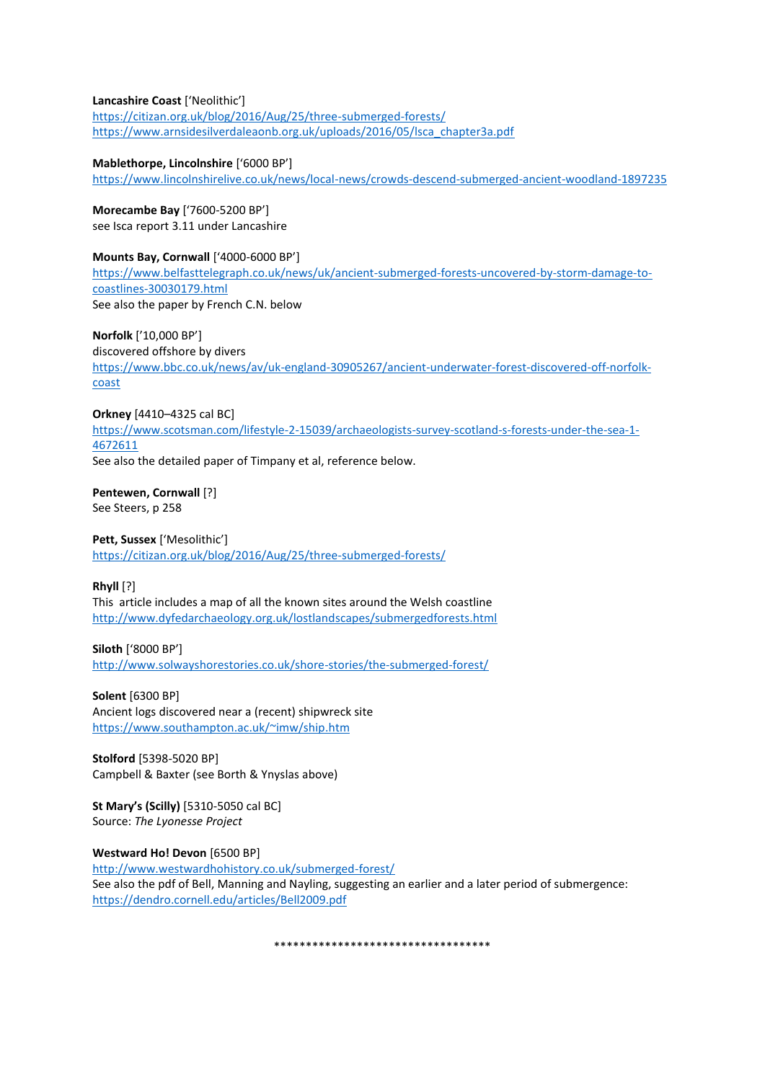### **Lancashire Coast** ['Neolithic']

<https://citizan.org.uk/blog/2016/Aug/25/three-submerged-forests/> [https://www.arnsidesilverdaleaonb.org.uk/uploads/2016/05/lsca\\_chapter3a.pdf](https://www.arnsidesilverdaleaonb.org.uk/uploads/2016/05/lsca_chapter3a.pdf%0d)

# **Mablethorpe, Lincolnshire** ['6000 BP']

<https://www.lincolnshirelive.co.uk/news/local-news/crowds-descend-submerged-ancient-woodland-1897235>

**Morecambe Bay** ['7600-5200 BP'] see Isca report 3.11 under Lancashire

# **Mounts Bay, Cornwall** ['4000-6000 BP']

[https://www.belfasttelegraph.co.uk/news/uk/ancient-submerged-forests-uncovered-by-storm-damage-to](https://www.belfasttelegraph.co.uk/news/uk/ancient-submerged-forests-uncovered-by-storm-damage-to-coastlines-30030179.html)[coastlines-30030179.html](https://www.belfasttelegraph.co.uk/news/uk/ancient-submerged-forests-uncovered-by-storm-damage-to-coastlines-30030179.html) See also the paper by French C.N. below

**Norfolk** ['10,000 BP'] discovered offshore by divers [https://www.bbc.co.uk/news/av/uk-england-30905267/ancient-underwater-forest-discovered-off-norfolk](https://www.bbc.co.uk/news/av/uk-england-30905267/ancient-underwater-forest-discovered-off-norfolk-coast)[coast](https://www.bbc.co.uk/news/av/uk-england-30905267/ancient-underwater-forest-discovered-off-norfolk-coast)

# **Orkney** [4410–4325 cal BC]

[https://www.scotsman.com/lifestyle-2-15039/archaeologists-survey-scotland-s-forests-under-the-sea-1-](https://www.scotsman.com/lifestyle-2-15039/archaeologists-survey-scotland-s-forests-under-the-sea-1-4672611) [4672611](https://www.scotsman.com/lifestyle-2-15039/archaeologists-survey-scotland-s-forests-under-the-sea-1-4672611)

See also the detailed paper of Timpany et al, reference below.

**Pentewen, Cornwall** [?] See Steers, p 258

# **Pett, Sussex** ['Mesolithic']

<https://citizan.org.uk/blog/2016/Aug/25/three-submerged-forests/>

**Rhyll** [?]

This article includes a map of all the known sites around the Welsh coastline <http://www.dyfedarchaeology.org.uk/lostlandscapes/submergedforests.html>

# **Siloth** ['8000 BP']

<http://www.solwayshorestories.co.uk/shore-stories/the-submerged-forest/>

**Solent** [6300 BP] Ancient logs discovered near a (recent) shipwreck site <https://www.southampton.ac.uk/~imw/ship.htm>

**Stolford** [5398-5020 BP] Campbell & Baxter (see Borth & Ynyslas above)

**St Mary's (Scilly)** [5310-5050 cal BC] Source: *The Lyonesse Project*

### **Westward Ho! Devon** [6500 BP]

<http://www.westwardhohistory.co.uk/submerged-forest/> See also the pdf of Bell, Manning and Nayling, suggesting an earlier and a later period of submergence: <https://dendro.cornell.edu/articles/Bell2009.pdf>

\*\*\*\*\*\*\*\*\*\*\*\*\*\*\*\*\*\*\*\*\*\*\*\*\*\*\*\*\*\*\*\*\*\*